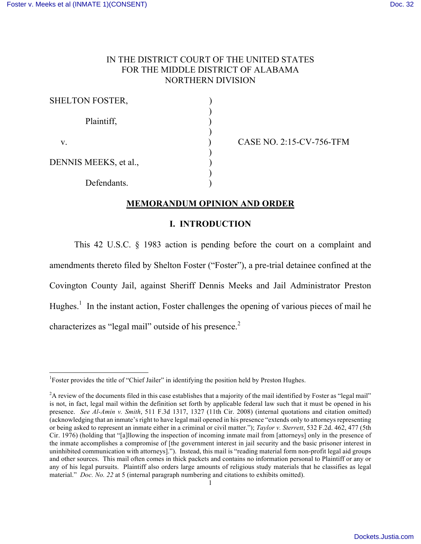# IN THE DISTRICT COURT OF THE UNITED STATES FOR THE MIDDLE DISTRICT OF ALABAMA NORTHERN DIVISION

| <b>SHELTON FOSTER,</b> |  |
|------------------------|--|
| Plaintiff,             |  |
| V.                     |  |
| DENNIS MEEKS, et al.,  |  |
| Defendants.            |  |

CASE NO. 2:15-CV-756-TFM

# **MEMORANDUM OPINION AND ORDER**

# **I. INTRODUCTION**

This 42 U.S.C. § 1983 action is pending before the court on a complaint and amendments thereto filed by Shelton Foster ("Foster"), a pre-trial detainee confined at the Covington County Jail, against Sheriff Dennis Meeks and Jail Administrator Preston Hughes.<sup>1</sup> In the instant action, Foster challenges the opening of various pieces of mail he characterizes as "legal mail" outside of his presence. $2$ 

<sup>&</sup>lt;sup>1</sup>Foster provides the title of "Chief Jailer" in identifying the position held by Preston Hughes.

<sup>&</sup>lt;sup>2</sup>A review of the documents filed in this case establishes that a majority of the mail identified by Foster as "legal mail" is not, in fact, legal mail within the definition set forth by applicable federal law such that it must be opened in his presence. *See Al-Amin v. Smith*, 511 F.3d 1317, 1327 (11th Cir. 2008) (internal quotations and citation omitted) (acknowledging that an inmate's right to have legal mail opened in his presence "extends only to attorneys representing or being asked to represent an inmate either in a criminal or civil matter."); *Taylor v. Sterrett*, 532 F.2d. 462, 477 (5th Cir. 1976) (holding that "[a]llowing the inspection of incoming inmate mail from [attorneys] only in the presence of the inmate accomplishes a compromise of [the government interest in jail security and the basic prisoner interest in uninhibited communication with attorneys]."). Instead, this mail is "reading material form non-profit legal aid groups and other sources. This mail often comes in thick packets and contains no information personal to Plaintiff or any or any of his legal pursuits. Plaintiff also orders large amounts of religious study materials that he classifies as legal material." *Doc. No. 22* at 5 (internal paragraph numbering and citations to exhibits omitted).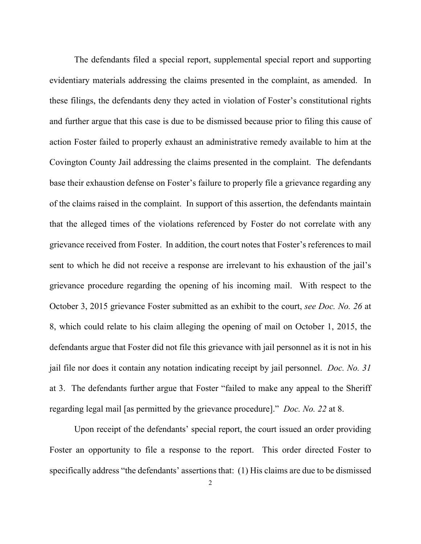The defendants filed a special report, supplemental special report and supporting evidentiary materials addressing the claims presented in the complaint, as amended. In these filings, the defendants deny they acted in violation of Foster's constitutional rights and further argue that this case is due to be dismissed because prior to filing this cause of action Foster failed to properly exhaust an administrative remedy available to him at the Covington County Jail addressing the claims presented in the complaint. The defendants base their exhaustion defense on Foster's failure to properly file a grievance regarding any of the claims raised in the complaint. In support of this assertion, the defendants maintain that the alleged times of the violations referenced by Foster do not correlate with any grievance received from Foster. In addition, the court notes that Foster's references to mail sent to which he did not receive a response are irrelevant to his exhaustion of the jail's grievance procedure regarding the opening of his incoming mail. With respect to the October 3, 2015 grievance Foster submitted as an exhibit to the court, *see Doc. No. 26* at 8, which could relate to his claim alleging the opening of mail on October 1, 2015, the defendants argue that Foster did not file this grievance with jail personnel as it is not in his jail file nor does it contain any notation indicating receipt by jail personnel. *Doc. No. 31* at 3. The defendants further argue that Foster "failed to make any appeal to the Sheriff regarding legal mail [as permitted by the grievance procedure]." *Doc. No. 22* at 8.

Upon receipt of the defendants' special report, the court issued an order providing Foster an opportunity to file a response to the report. This order directed Foster to specifically address "the defendants' assertions that: (1) His claims are due to be dismissed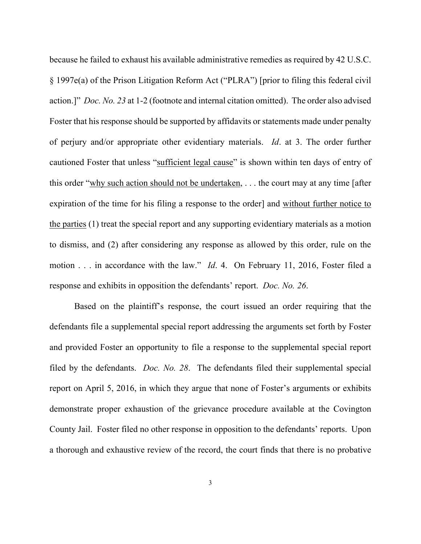because he failed to exhaust his available administrative remedies as required by 42 U.S.C. § 1997e(a) of the Prison Litigation Reform Act ("PLRA") [prior to filing this federal civil action.]" *Doc. No. 23* at 1-2 (footnote and internal citation omitted). The order also advised Foster that his response should be supported by affidavits or statements made under penalty of perjury and/or appropriate other evidentiary materials. *Id*. at 3. The order further cautioned Foster that unless "sufficient legal cause" is shown within ten days of entry of this order "why such action should not be undertaken, . . . the court may at any time [after expiration of the time for his filing a response to the order] and without further notice to the parties (1) treat the special report and any supporting evidentiary materials as a motion to dismiss, and (2) after considering any response as allowed by this order, rule on the motion . . . in accordance with the law." *Id*. 4. On February 11, 2016, Foster filed a response and exhibits in opposition the defendants' report. *Doc. No. 26*.

Based on the plaintiff's response, the court issued an order requiring that the defendants file a supplemental special report addressing the arguments set forth by Foster and provided Foster an opportunity to file a response to the supplemental special report filed by the defendants. *Doc. No. 28*. The defendants filed their supplemental special report on April 5, 2016, in which they argue that none of Foster's arguments or exhibits demonstrate proper exhaustion of the grievance procedure available at the Covington County Jail. Foster filed no other response in opposition to the defendants' reports. Upon a thorough and exhaustive review of the record, the court finds that there is no probative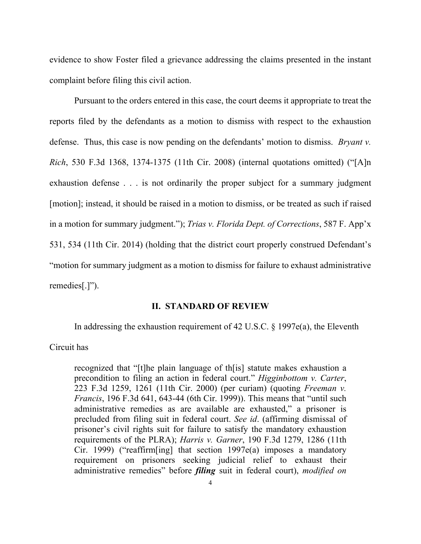evidence to show Foster filed a grievance addressing the claims presented in the instant complaint before filing this civil action.

Pursuant to the orders entered in this case, the court deems it appropriate to treat the reports filed by the defendants as a motion to dismiss with respect to the exhaustion defense. Thus, this case is now pending on the defendants' motion to dismiss. *Bryant v. Rich*, 530 F.3d 1368, 1374-1375 (11th Cir. 2008) (internal quotations omitted) ("[A]n exhaustion defense . . . is not ordinarily the proper subject for a summary judgment [motion]; instead, it should be raised in a motion to dismiss, or be treated as such if raised in a motion for summary judgment."); *Trias v. Florida Dept. of Corrections*, 587 F. App'x 531, 534 (11th Cir. 2014) (holding that the district court properly construed Defendant's "motion for summary judgment as a motion to dismiss for failure to exhaust administrative remedies[.]").

### **II. STANDARD OF REVIEW**

In addressing the exhaustion requirement of 42 U.S.C. § 1997e(a), the Eleventh

### Circuit has

recognized that "[t]he plain language of th[is] statute makes exhaustion a precondition to filing an action in federal court." *Higginbottom v. Carter*, 223 F.3d 1259, 1261 (11th Cir. 2000) (per curiam) (quoting *Freeman v. Francis*, 196 F.3d 641, 643-44 (6th Cir. 1999)). This means that "until such administrative remedies as are available are exhausted," a prisoner is precluded from filing suit in federal court. *See id*. (affirming dismissal of prisoner's civil rights suit for failure to satisfy the mandatory exhaustion requirements of the PLRA); *Harris v. Garner*, 190 F.3d 1279, 1286 (11th Cir. 1999) ("reaffirm[ing] that section 1997e(a) imposes a mandatory requirement on prisoners seeking judicial relief to exhaust their administrative remedies" before *filing* suit in federal court), *modified on*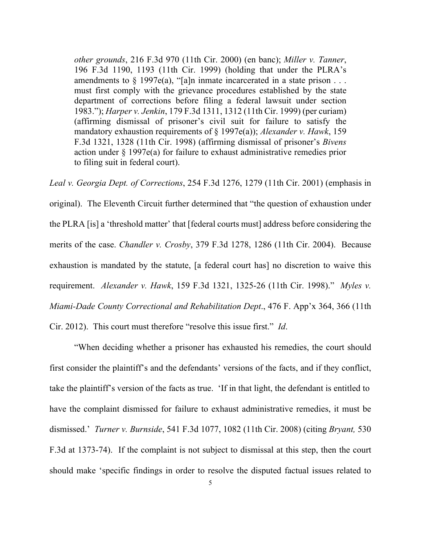*other grounds*, 216 F.3d 970 (11th Cir. 2000) (en banc); *Miller v. Tanner*, 196 F.3d 1190, 1193 (11th Cir. 1999) (holding that under the PLRA's amendments to  $\S$  1997e(a), "[a]n inmate incarcerated in a state prison ... must first comply with the grievance procedures established by the state department of corrections before filing a federal lawsuit under section 1983."); *Harper v. Jenkin*, 179 F.3d 1311, 1312 (11th Cir. 1999) (per curiam) (affirming dismissal of prisoner's civil suit for failure to satisfy the mandatory exhaustion requirements of § 1997e(a)); *Alexander v. Hawk*, 159 F.3d 1321, 1328 (11th Cir. 1998) (affirming dismissal of prisoner's *Bivens* action under § 1997e(a) for failure to exhaust administrative remedies prior to filing suit in federal court).

*Leal v. Georgia Dept. of Corrections*, 254 F.3d 1276, 1279 (11th Cir. 2001) (emphasis in original). The Eleventh Circuit further determined that "the question of exhaustion under the PLRA [is] a 'threshold matter' that [federal courts must] address before considering the merits of the case. *Chandler v. Crosby*, 379 F.3d 1278, 1286 (11th Cir. 2004). Because exhaustion is mandated by the statute, [a federal court has] no discretion to waive this requirement. *Alexander v. Hawk*, 159 F.3d 1321, 1325-26 (11th Cir. 1998)." *Myles v. Miami-Dade County Correctional and Rehabilitation Dept*., 476 F. App'x 364, 366 (11th Cir. 2012). This court must therefore "resolve this issue first." *Id*.

"When deciding whether a prisoner has exhausted his remedies, the court should first consider the plaintiff's and the defendants' versions of the facts, and if they conflict, take the plaintiff's version of the facts as true. 'If in that light, the defendant is entitled to have the complaint dismissed for failure to exhaust administrative remedies, it must be dismissed.' *Turner v. Burnside*, 541 F.3d 1077, 1082 (11th Cir. 2008) (citing *Bryant,* 530 F.3d at 1373-74). If the complaint is not subject to dismissal at this step, then the court should make 'specific findings in order to resolve the disputed factual issues related to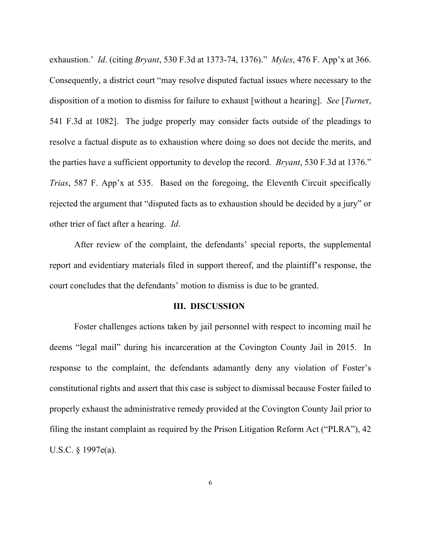exhaustion.' *Id*. (citing *Bryant*, 530 F.3d at 1373-74, 1376)." *Myles*, 476 F. App'x at 366. Consequently, a district court "may resolve disputed factual issues where necessary to the disposition of a motion to dismiss for failure to exhaust [without a hearing]. *See* [*Turne*r, 541 F.3d at 1082]. The judge properly may consider facts outside of the pleadings to resolve a factual dispute as to exhaustion where doing so does not decide the merits, and the parties have a sufficient opportunity to develop the record. *Bryant*, 530 F.3d at 1376." *Trias*, 587 F. App'x at 535. Based on the foregoing, the Eleventh Circuit specifically rejected the argument that "disputed facts as to exhaustion should be decided by a jury" or other trier of fact after a hearing. *Id*.

After review of the complaint, the defendants' special reports, the supplemental report and evidentiary materials filed in support thereof, and the plaintiff's response, the court concludes that the defendants' motion to dismiss is due to be granted.

#### **III. DISCUSSION**

Foster challenges actions taken by jail personnel with respect to incoming mail he deems "legal mail" during his incarceration at the Covington County Jail in 2015. In response to the complaint, the defendants adamantly deny any violation of Foster's constitutional rights and assert that this case is subject to dismissal because Foster failed to properly exhaust the administrative remedy provided at the Covington County Jail prior to filing the instant complaint as required by the Prison Litigation Reform Act ("PLRA"), 42 U.S.C. § 1997e(a).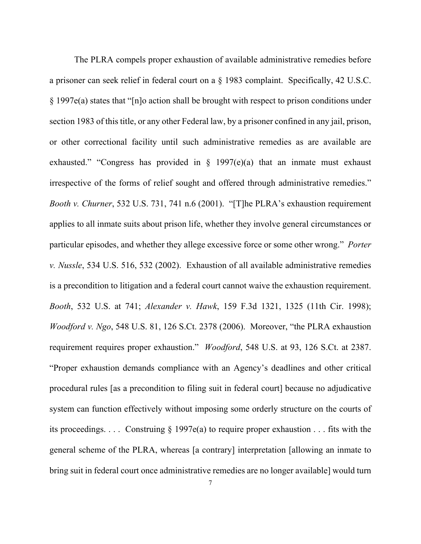The PLRA compels proper exhaustion of available administrative remedies before a prisoner can seek relief in federal court on a § 1983 complaint. Specifically, 42 U.S.C. § 1997e(a) states that "[n]o action shall be brought with respect to prison conditions under section 1983 of this title, or any other Federal law, by a prisoner confined in any jail, prison, or other correctional facility until such administrative remedies as are available are exhausted." "Congress has provided in  $\S$  1997(e)(a) that an inmate must exhaust irrespective of the forms of relief sought and offered through administrative remedies." *Booth v. Churner*, 532 U.S. 731, 741 n.6 (2001). "[T]he PLRA's exhaustion requirement applies to all inmate suits about prison life, whether they involve general circumstances or particular episodes, and whether they allege excessive force or some other wrong." *Porter v. Nussle*, 534 U.S. 516, 532 (2002). Exhaustion of all available administrative remedies is a precondition to litigation and a federal court cannot waive the exhaustion requirement. *Booth*, 532 U.S. at 741; *Alexander v. Hawk*, 159 F.3d 1321, 1325 (11th Cir. 1998); *Woodford v. Ngo*, 548 U.S. 81, 126 S.Ct. 2378 (2006). Moreover, "the PLRA exhaustion requirement requires proper exhaustion." *Woodford*, 548 U.S. at 93, 126 S.Ct. at 2387. "Proper exhaustion demands compliance with an Agency's deadlines and other critical procedural rules [as a precondition to filing suit in federal court] because no adjudicative system can function effectively without imposing some orderly structure on the courts of its proceedings. . . . Construing § 1997e(a) to require proper exhaustion . . . fits with the general scheme of the PLRA, whereas [a contrary] interpretation [allowing an inmate to bring suit in federal court once administrative remedies are no longer available] would turn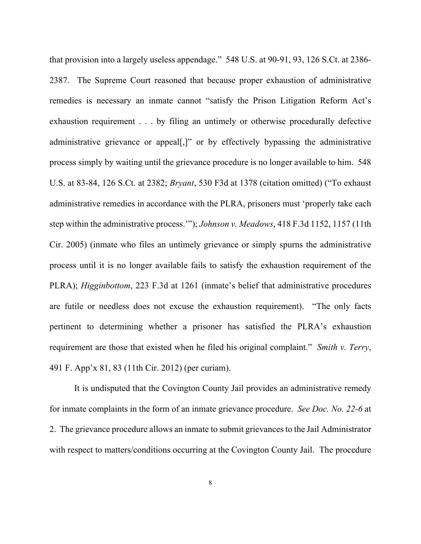that provision into a largely useless appendage." 548 U.S. at 90-91, 93, 126 S.Ct. at 2386- 2387. The Supreme Court reasoned that because proper exhaustion of administrative remedies is necessary an inmate cannot "satisfy the Prison Litigation Reform Act's exhaustion requirement . . . by filing an untimely or otherwise procedurally defective administrative grievance or appeal[,]" or by effectively bypassing the administrative process simply by waiting until the grievance procedure is no longer available to him. 548 U.S. at 83-84, 126 S.Ct. at 2382; *Bryant*, 530 F3d at 1378 (citation omitted) ("To exhaust administrative remedies in accordance with the PLRA, prisoners must 'properly take each step within the administrative process.'"); *Johnson v. Meadows*, 418 F.3d 1152, 1157 (11th Cir. 2005) (inmate who files an untimely grievance or simply spurns the administrative process until it is no longer available fails to satisfy the exhaustion requirement of the PLRA); *Higginbottom*, 223 F.3d at 1261 (inmate's belief that administrative procedures are futile or needless does not excuse the exhaustion requirement). "The only facts pertinent to determining whether a prisoner has satisfied the PLRA's exhaustion requirement are those that existed when he filed his original complaint." *Smith v. Terry*, 491 F. App'x 81, 83 (11th Cir. 2012) (per curiam).

It is undisputed that the Covington County Jail provides an administrative remedy for inmate complaints in the form of an inmate grievance procedure. *See Doc. No. 22-6* at 2. The grievance procedure allows an inmate to submit grievances to the Jail Administrator with respect to matters/conditions occurring at the Covington County Jail. The procedure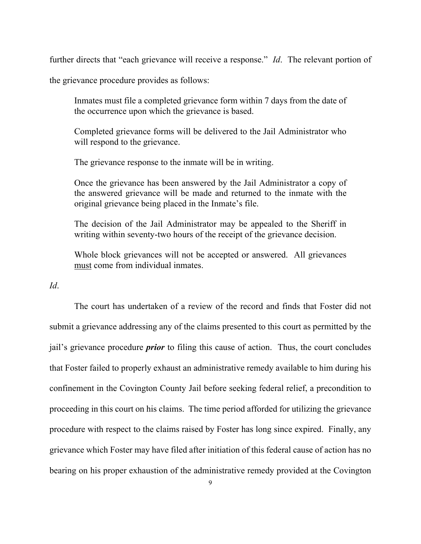further directs that "each grievance will receive a response." *Id*. The relevant portion of

the grievance procedure provides as follows:

Inmates must file a completed grievance form within 7 days from the date of the occurrence upon which the grievance is based.

Completed grievance forms will be delivered to the Jail Administrator who will respond to the grievance.

The grievance response to the inmate will be in writing.

Once the grievance has been answered by the Jail Administrator a copy of the answered grievance will be made and returned to the inmate with the original grievance being placed in the Inmate's file.

The decision of the Jail Administrator may be appealed to the Sheriff in writing within seventy-two hours of the receipt of the grievance decision.

Whole block grievances will not be accepted or answered. All grievances must come from individual inmates.

*Id*.

The court has undertaken of a review of the record and finds that Foster did not submit a grievance addressing any of the claims presented to this court as permitted by the jail's grievance procedure *prior* to filing this cause of action. Thus, the court concludes that Foster failed to properly exhaust an administrative remedy available to him during his confinement in the Covington County Jail before seeking federal relief, a precondition to proceeding in this court on his claims. The time period afforded for utilizing the grievance procedure with respect to the claims raised by Foster has long since expired. Finally, any grievance which Foster may have filed after initiation of this federal cause of action has no bearing on his proper exhaustion of the administrative remedy provided at the Covington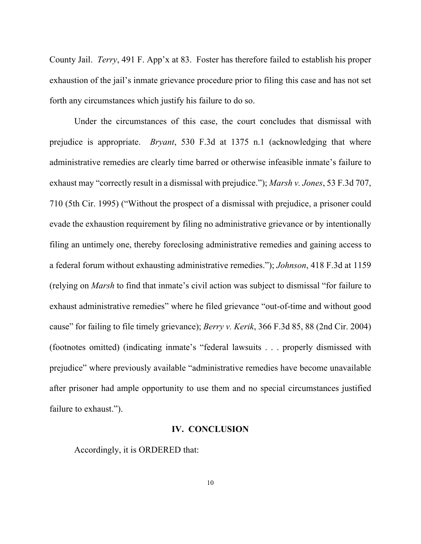County Jail. *Terry*, 491 F. App'x at 83. Foster has therefore failed to establish his proper exhaustion of the jail's inmate grievance procedure prior to filing this case and has not set forth any circumstances which justify his failure to do so.

Under the circumstances of this case, the court concludes that dismissal with prejudice is appropriate. *Bryant*, 530 F.3d at 1375 n.1 (acknowledging that where administrative remedies are clearly time barred or otherwise infeasible inmate's failure to exhaust may "correctly result in a dismissal with prejudice."); *Marsh v. Jones*, 53 F.3d 707, 710 (5th Cir. 1995) ("Without the prospect of a dismissal with prejudice, a prisoner could evade the exhaustion requirement by filing no administrative grievance or by intentionally filing an untimely one, thereby foreclosing administrative remedies and gaining access to a federal forum without exhausting administrative remedies."); *Johnson*, 418 F.3d at 1159 (relying on *Marsh* to find that inmate's civil action was subject to dismissal "for failure to exhaust administrative remedies" where he filed grievance "out-of-time and without good cause" for failing to file timely grievance); *Berry v. Kerik*, 366 F.3d 85, 88 (2nd Cir. 2004) (footnotes omitted) (indicating inmate's "federal lawsuits . . . properly dismissed with prejudice" where previously available "administrative remedies have become unavailable after prisoner had ample opportunity to use them and no special circumstances justified failure to exhaust.").

### **IV. CONCLUSION**

Accordingly, it is ORDERED that: